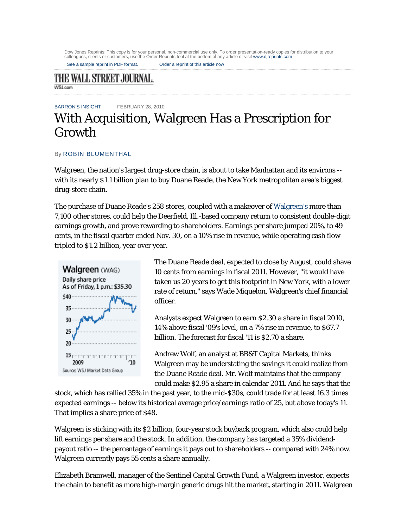Dow Jones Reprints: This copy is for your personal, non-commercial use only. To order presentation-ready copies for distribution to your<br>colleagues, clients or customers, use the Order Reprints tool at the bottom of any ar

See a sample reprint in PDF format. Order a reprint of this article now

## THE WALL STREET JOURNAL. **WSJ.com**

BARRON'S INSIGHT | FEBRUARY 28, 2010

## With Acquisition, Walgreen Has a Prescription for Growth

## By ROBIN BLUMENTHAL

Walgreen, the nation's largest drug-store chain, is about to take Manhattan and its environs - with its nearly \$1.1 billion plan to buy Duane Reade, the New York metropolitan area's biggest drug-store chain.

The purchase of Duane Reade's 258 stores, coupled with a makeover of Walgreen's more than 7,100 other stores, could help the Deerfield, Ill.-based company return to consistent double-digit earnings growth, and prove rewarding to shareholders. Earnings per share jumped 20%, to 49 cents, in the fiscal quarter ended Nov. 30, on a 10% rise in revenue, while operating cash flow tripled to \$1.2 billion, year over year.



The Duane Reade deal, expected to close by August, could shave 10 cents from earnings in fiscal 2011. However, "it would have taken us 20 years to get this footprint in New York, with a lower rate of return," says Wade Miquelon, Walgreen's chief financial officer.

Analysts expect Walgreen to earn \$2.30 a share in fiscal 2010, 14% above fiscal '09's level, on a 7% rise in revenue, to \$67.7 billion. The forecast for fiscal '11 is \$2.70 a share.

Andrew Wolf, an analyst at BB&T Capital Markets, thinks Walgreen may be understating the savings it could realize from the Duane Reade deal. Mr. Wolf maintains that the company could make \$2.95 a share in calendar 2011. And he says that the

stock, which has rallied 35% in the past year, to the mid-\$30s, could trade for at least 16.3 times expected earnings -- below its historical average price/earnings ratio of 25, but above today's 11. That implies a share price of \$48.

Walgreen is sticking with its \$2 billion, four-year stock buyback program, which also could help lift earnings per share and the stock. In addition, the company has targeted a 35% dividendpayout ratio -- the percentage of earnings it pays out to shareholders -- compared with 24% now. Walgreen currently pays 55 cents a share annually.

Elizabeth Bramwell, manager of the Sentinel Capital Growth Fund, a Walgreen investor, expects the chain to benefit as more high-margin generic drugs hit the market, starting in 2011. Walgreen